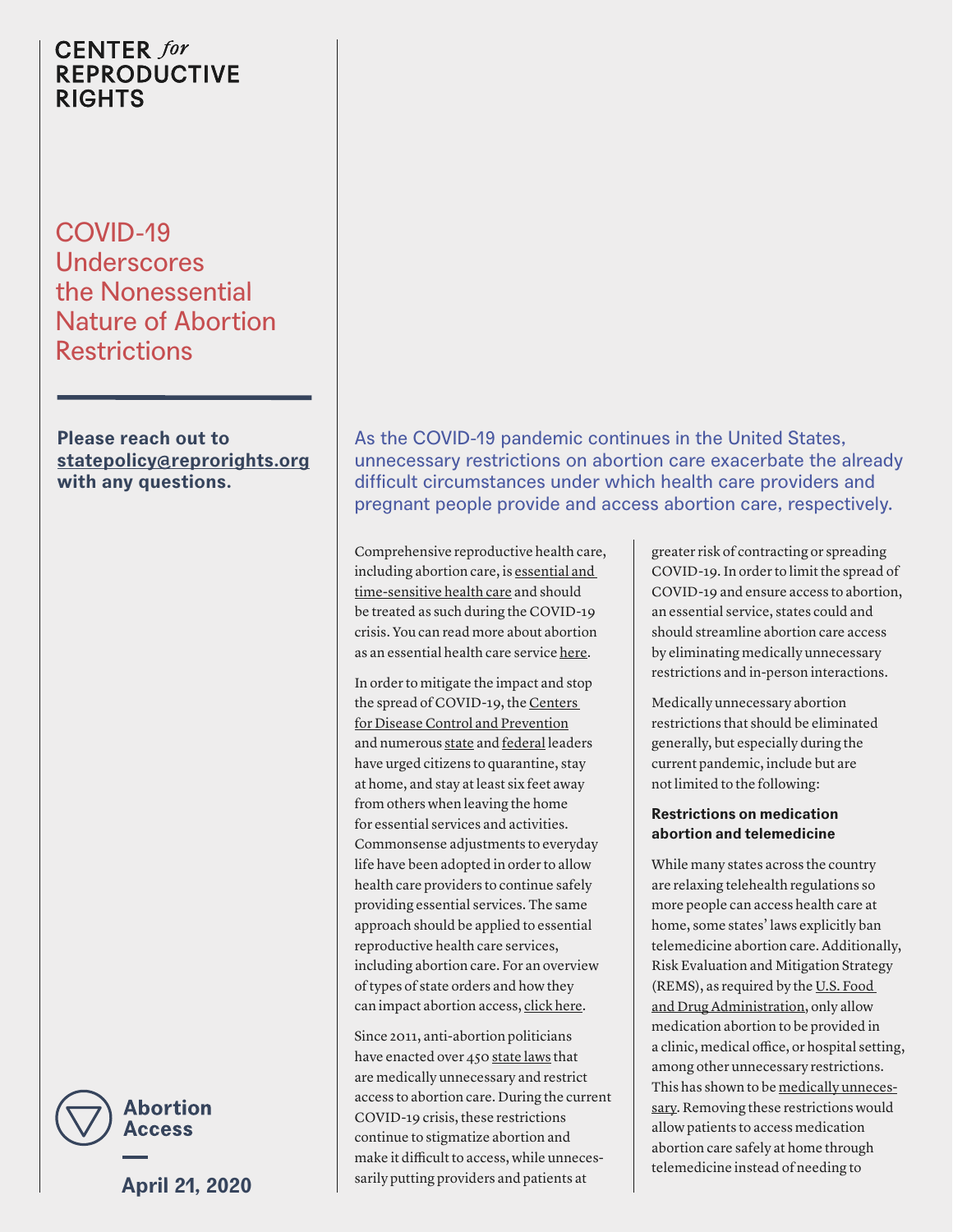# **CENTER** for **REPRODUCTIVE RIGHTS**

COVID-19 Underscores the Nonessential Nature of Abortion **Restrictions** 

**Please reach out to [statepolicy@reprorights.org](mailto:statepolicy@reprorights.org) with any questions.**



**April 21, 2020**

As the COVID-19 pandemic continues in the United States, unnecessary restrictions on abortion care exacerbate the already difficult circumstances under which health care providers and pregnant people provide and access abortion care, respectively.

Comprehensive reproductive health care, including abortion care, is [essential and](https://www.acog.org/news/news-releases/2020/03/joint-statement-on-abortion-access-during-the-covid-19-outbreak)  [time-sensitive health care](https://www.acog.org/news/news-releases/2020/03/joint-statement-on-abortion-access-during-the-covid-19-outbreak) and should be treated as such during the COVID-19 crisis. You can read more about abortion as an essential health care service [here](https://reproductiverights.org/document/abortion-is-essential-health-care-access-is-imperative-during-covid-19).

In order to mitigate the impact and stop the spread of COVID-19, the [Centers](https://www.cdc.gov/coronavirus/2019-ncov/prevent-getting-sick/prevention.html)  [for Disease Control and Prevention](https://www.cdc.gov/coronavirus/2019-ncov/prevent-getting-sick/prevention.html) and numerous [state](https://www.nytimes.com/interactive/2020/us/coronavirus-stay-at-home-order.html) and [federal](https://www.usnews.com/news/us/articles/2020-04-03/face-masks-no-replacement-for-distance-amid-coronavirus-fauci) leaders have urged citizens to quarantine, stay at home, and stay at least six feet away from others when leaving the home for essential services and activities. Commonsense adjustments to everyday life have been adopted in order to allow health care providers to continue safely providing essential services. The same approach should be applied to essential reproductive health care services, including abortion care. For an overview of types of state orders and how they can impact abortion access, [click here](https://reproductiverights.org/document/how-state-covid-19-orders-can-impact-abortion-access).

Since 2011, anti-abortion politicians have enacted over 450 [state laws](https://reproductiverights.org/what-if-roe-fell) that are medically unnecessary and restrict access to abortion care. During the current COVID-19 crisis, these restrictions continue to stigmatize abortion and make it difficult to access, while unnecessarily putting providers and patients at

greater risk of contracting or spreading COVID-19. In order to limit the spread of COVID-19 and ensure access to abortion, an essential service, states could and should streamline abortion care access by eliminating medically unnecessary restrictions and in-person interactions.

Medically unnecessary abortion restrictions that should be eliminated generally, but especially during the current pandemic, include but are not limited to the following:

#### **Restrictions on medication abortion and telemedicine**

While many states across the country are relaxing telehealth regulations so more people can access health care at home, some states' laws explicitly ban telemedicine abortion care. Additionally, Risk Evaluation and Mitigation Strategy (REMS), as required by the [U.S. Food](https://www.fda.gov/drugs/postmarket-drug-safety-information-patients-and-providers/mifeprex-mifepristone-information)  [and Drug Administration](https://www.fda.gov/drugs/postmarket-drug-safety-information-patients-and-providers/mifeprex-mifepristone-information), only allow medication abortion to be provided in a clinic, medical office, or hospital setting, among other unnecessary restrictions. This has shown to be [medically unneces](https://www.nejm.org/doi/full/10.1056/NEJMsb1612526)[sary.](https://www.nejm.org/doi/full/10.1056/NEJMsb1612526) Removing these restrictions would allow patients to access medication abortion care safely at home through telemedicine instead of needing to